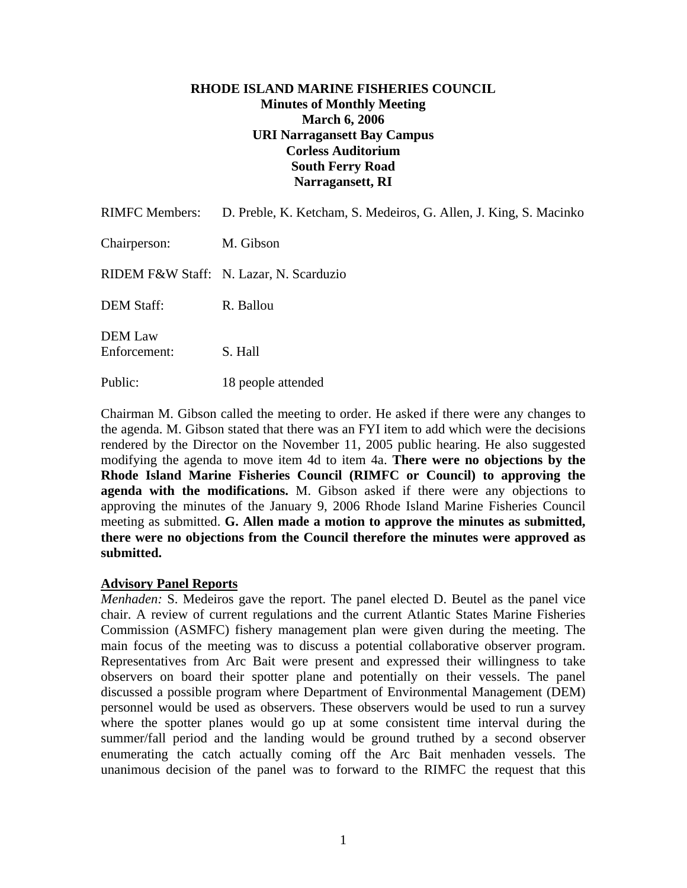### **RHODE ISLAND MARINE FISHERIES COUNCIL Minutes of Monthly Meeting March 6, 2006 URI Narragansett Bay Campus Corless Auditorium South Ferry Road Narragansett, RI**

| <b>RIMFC Members:</b>          | D. Preble, K. Ketcham, S. Medeiros, G. Allen, J. King, S. Macinko |
|--------------------------------|-------------------------------------------------------------------|
| Chairperson:                   | M. Gibson                                                         |
|                                | RIDEM F&W Staff: N. Lazar, N. Scarduzio                           |
| <b>DEM Staff:</b>              | R. Ballou                                                         |
| <b>DEM Law</b><br>Enforcement: | S. Hall                                                           |
| Public:                        | 18 people attended                                                |

Chairman M. Gibson called the meeting to order. He asked if there were any changes to the agenda. M. Gibson stated that there was an FYI item to add which were the decisions rendered by the Director on the November 11, 2005 public hearing. He also suggested modifying the agenda to move item 4d to item 4a. **There were no objections by the Rhode Island Marine Fisheries Council (RIMFC or Council) to approving the agenda with the modifications.** M. Gibson asked if there were any objections to approving the minutes of the January 9, 2006 Rhode Island Marine Fisheries Council meeting as submitted. **G. Allen made a motion to approve the minutes as submitted, there were no objections from the Council therefore the minutes were approved as submitted.** 

### **Advisory Panel Reports**

*Menhaden:* S. Medeiros gave the report. The panel elected D. Beutel as the panel vice chair. A review of current regulations and the current Atlantic States Marine Fisheries Commission (ASMFC) fishery management plan were given during the meeting. The main focus of the meeting was to discuss a potential collaborative observer program. Representatives from Arc Bait were present and expressed their willingness to take observers on board their spotter plane and potentially on their vessels. The panel discussed a possible program where Department of Environmental Management (DEM) personnel would be used as observers. These observers would be used to run a survey where the spotter planes would go up at some consistent time interval during the summer/fall period and the landing would be ground truthed by a second observer enumerating the catch actually coming off the Arc Bait menhaden vessels. The unanimous decision of the panel was to forward to the RIMFC the request that this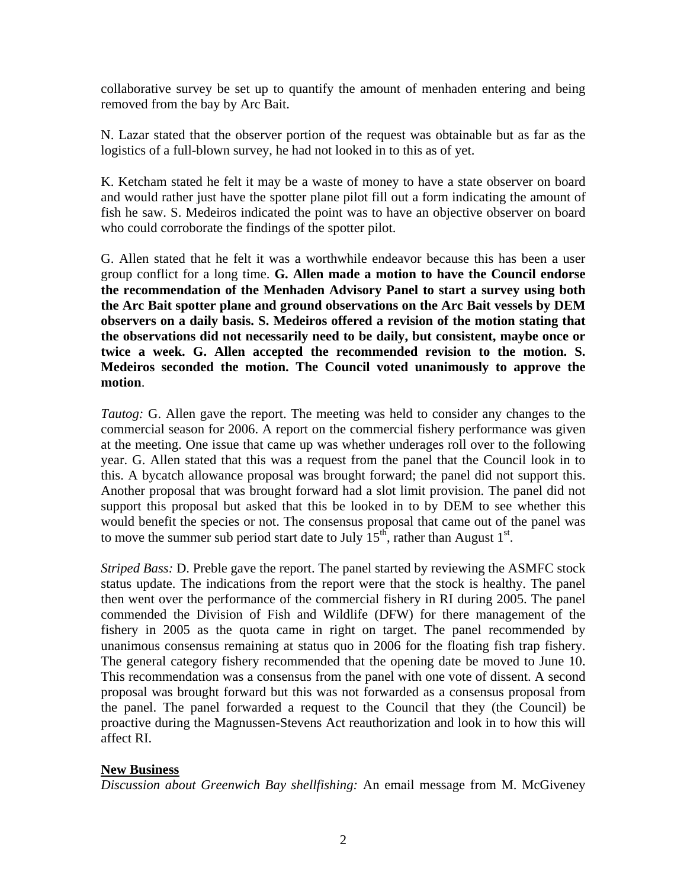collaborative survey be set up to quantify the amount of menhaden entering and being removed from the bay by Arc Bait.

N. Lazar stated that the observer portion of the request was obtainable but as far as the logistics of a full-blown survey, he had not looked in to this as of yet.

K. Ketcham stated he felt it may be a waste of money to have a state observer on board and would rather just have the spotter plane pilot fill out a form indicating the amount of fish he saw. S. Medeiros indicated the point was to have an objective observer on board who could corroborate the findings of the spotter pilot.

G. Allen stated that he felt it was a worthwhile endeavor because this has been a user group conflict for a long time. **G. Allen made a motion to have the Council endorse the recommendation of the Menhaden Advisory Panel to start a survey using both the Arc Bait spotter plane and ground observations on the Arc Bait vessels by DEM observers on a daily basis. S. Medeiros offered a revision of the motion stating that the observations did not necessarily need to be daily, but consistent, maybe once or twice a week. G. Allen accepted the recommended revision to the motion. S. Medeiros seconded the motion. The Council voted unanimously to approve the motion**.

*Tautog:* G. Allen gave the report. The meeting was held to consider any changes to the commercial season for 2006. A report on the commercial fishery performance was given at the meeting. One issue that came up was whether underages roll over to the following year. G. Allen stated that this was a request from the panel that the Council look in to this. A bycatch allowance proposal was brought forward; the panel did not support this. Another proposal that was brought forward had a slot limit provision. The panel did not support this proposal but asked that this be looked in to by DEM to see whether this would benefit the species or not. The consensus proposal that came out of the panel was to move the summer sub period start date to July  $15<sup>th</sup>$ , rather than August  $1<sup>st</sup>$ .

*Striped Bass:* D. Preble gave the report. The panel started by reviewing the ASMFC stock status update. The indications from the report were that the stock is healthy. The panel then went over the performance of the commercial fishery in RI during 2005. The panel commended the Division of Fish and Wildlife (DFW) for there management of the fishery in 2005 as the quota came in right on target. The panel recommended by unanimous consensus remaining at status quo in 2006 for the floating fish trap fishery. The general category fishery recommended that the opening date be moved to June 10. This recommendation was a consensus from the panel with one vote of dissent. A second proposal was brought forward but this was not forwarded as a consensus proposal from the panel. The panel forwarded a request to the Council that they (the Council) be proactive during the Magnussen-Stevens Act reauthorization and look in to how this will affect RI.

# **New Business**

*Discussion about Greenwich Bay shellfishing:* An email message from M. McGiveney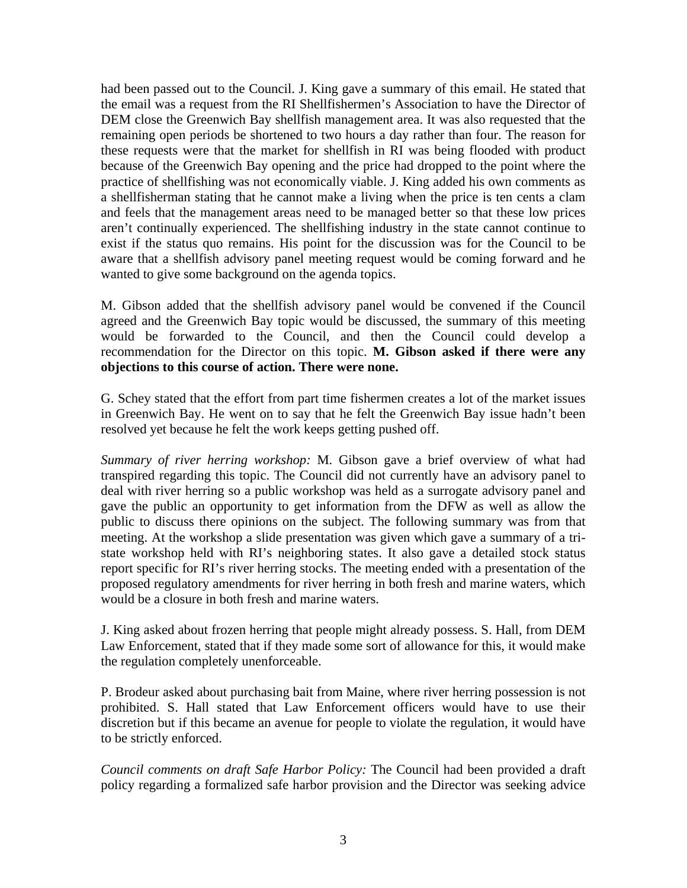had been passed out to the Council. J. King gave a summary of this email. He stated that the email was a request from the RI Shellfishermen's Association to have the Director of DEM close the Greenwich Bay shellfish management area. It was also requested that the remaining open periods be shortened to two hours a day rather than four. The reason for these requests were that the market for shellfish in RI was being flooded with product because of the Greenwich Bay opening and the price had dropped to the point where the practice of shellfishing was not economically viable. J. King added his own comments as a shellfisherman stating that he cannot make a living when the price is ten cents a clam and feels that the management areas need to be managed better so that these low prices aren't continually experienced. The shellfishing industry in the state cannot continue to exist if the status quo remains. His point for the discussion was for the Council to be aware that a shellfish advisory panel meeting request would be coming forward and he wanted to give some background on the agenda topics.

M. Gibson added that the shellfish advisory panel would be convened if the Council agreed and the Greenwich Bay topic would be discussed, the summary of this meeting would be forwarded to the Council, and then the Council could develop a recommendation for the Director on this topic. **M. Gibson asked if there were any objections to this course of action. There were none.**

G. Schey stated that the effort from part time fishermen creates a lot of the market issues in Greenwich Bay. He went on to say that he felt the Greenwich Bay issue hadn't been resolved yet because he felt the work keeps getting pushed off.

*Summary of river herring workshop:* M. Gibson gave a brief overview of what had transpired regarding this topic. The Council did not currently have an advisory panel to deal with river herring so a public workshop was held as a surrogate advisory panel and gave the public an opportunity to get information from the DFW as well as allow the public to discuss there opinions on the subject. The following summary was from that meeting. At the workshop a slide presentation was given which gave a summary of a tristate workshop held with RI's neighboring states. It also gave a detailed stock status report specific for RI's river herring stocks. The meeting ended with a presentation of the proposed regulatory amendments for river herring in both fresh and marine waters, which would be a closure in both fresh and marine waters.

J. King asked about frozen herring that people might already possess. S. Hall, from DEM Law Enforcement, stated that if they made some sort of allowance for this, it would make the regulation completely unenforceable.

P. Brodeur asked about purchasing bait from Maine, where river herring possession is not prohibited. S. Hall stated that Law Enforcement officers would have to use their discretion but if this became an avenue for people to violate the regulation, it would have to be strictly enforced.

*Council comments on draft Safe Harbor Policy:* The Council had been provided a draft policy regarding a formalized safe harbor provision and the Director was seeking advice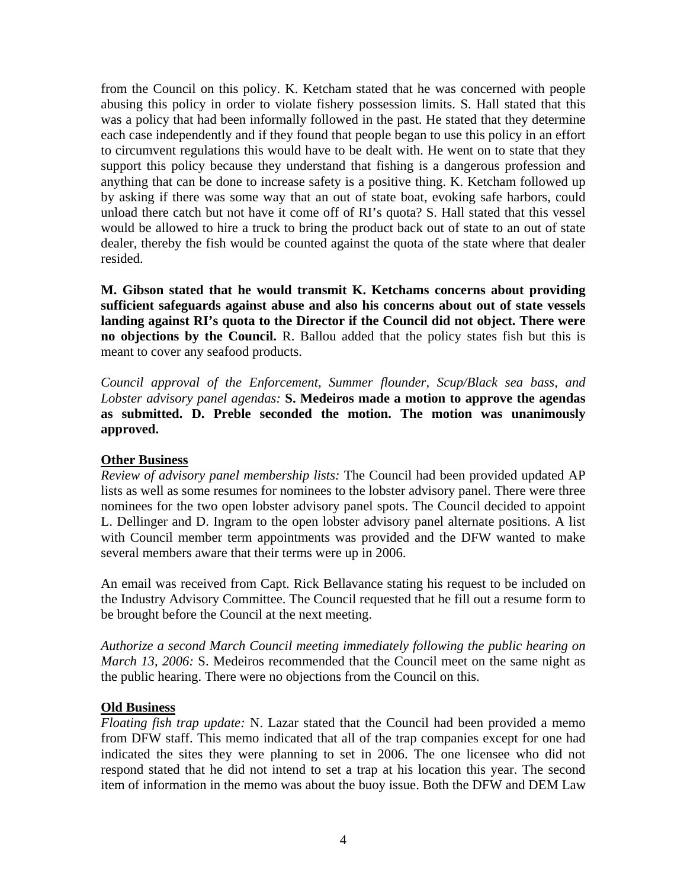from the Council on this policy. K. Ketcham stated that he was concerned with people abusing this policy in order to violate fishery possession limits. S. Hall stated that this was a policy that had been informally followed in the past. He stated that they determine each case independently and if they found that people began to use this policy in an effort to circumvent regulations this would have to be dealt with. He went on to state that they support this policy because they understand that fishing is a dangerous profession and anything that can be done to increase safety is a positive thing. K. Ketcham followed up by asking if there was some way that an out of state boat, evoking safe harbors, could unload there catch but not have it come off of RI's quota? S. Hall stated that this vessel would be allowed to hire a truck to bring the product back out of state to an out of state dealer, thereby the fish would be counted against the quota of the state where that dealer resided.

**M. Gibson stated that he would transmit K. Ketchams concerns about providing sufficient safeguards against abuse and also his concerns about out of state vessels landing against RI's quota to the Director if the Council did not object. There were no objections by the Council.** R. Ballou added that the policy states fish but this is meant to cover any seafood products.

*Council approval of the Enforcement, Summer flounder, Scup/Black sea bass, and Lobster advisory panel agendas:* **S. Medeiros made a motion to approve the agendas as submitted. D. Preble seconded the motion. The motion was unanimously approved.**

# **Other Business**

*Review of advisory panel membership lists:* The Council had been provided updated AP lists as well as some resumes for nominees to the lobster advisory panel. There were three nominees for the two open lobster advisory panel spots. The Council decided to appoint L. Dellinger and D. Ingram to the open lobster advisory panel alternate positions. A list with Council member term appointments was provided and the DFW wanted to make several members aware that their terms were up in 2006.

An email was received from Capt. Rick Bellavance stating his request to be included on the Industry Advisory Committee. The Council requested that he fill out a resume form to be brought before the Council at the next meeting.

*Authorize a second March Council meeting immediately following the public hearing on March 13, 2006:* S. Medeiros recommended that the Council meet on the same night as the public hearing. There were no objections from the Council on this.

# **Old Business**

*Floating fish trap update:* N. Lazar stated that the Council had been provided a memo from DFW staff. This memo indicated that all of the trap companies except for one had indicated the sites they were planning to set in 2006. The one licensee who did not respond stated that he did not intend to set a trap at his location this year. The second item of information in the memo was about the buoy issue. Both the DFW and DEM Law